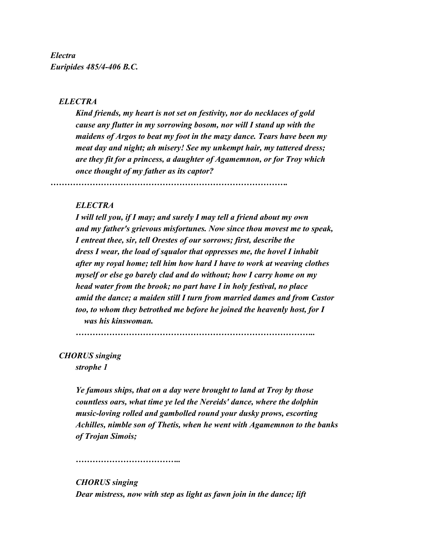*Electra Euripides 485/4-406 B.C.*

## *ELECTRA*

*Kind friends, my heart is not set on festivity, nor do necklaces of gold cause any flutter in my sorrowing bosom, nor will I stand up with the maidens of Argos to beat my foot in the mazy dance. Tears have been my meat day and night; ah misery! See my unkempt hair, my tattered dress; are they fit for a princess, a daughter of Agamemnon, or for Troy which once thought of my father as its captor?*

*………………………………………………………………………….*

## *ELECTRA*

*I will tell you, if I may; and surely I may tell a friend about my own and my father's grievous misfortunes. Now since thou movest me to speak, I entreat thee, sir, tell Orestes of our sorrows; first, describe the dress I wear, the load of squalor that oppresses me, the hovel I inhabit after my royal home; tell him how hard I have to work at weaving clothes myself or else go barely clad and do without; how I carry home on my head water from the brook; no part have I in holy festival, no place amid the dance; a maiden still I turn from married dames and from Castor too, to whom they betrothed me before he joined the heavenly host, for I was his kinswoman.*

*…………………………………………………………………………..*

 *CHORUS singing strophe 1*

> *Ye famous ships, that on a day were brought to land at Troy by those countless oars, what time ye led the Nereids' dance, where the dolphin music-loving rolled and gambolled round your dusky prows, escorting Achilles, nimble son of Thetis, when he went with Agamemnon to the banks of Trojan Simois;*

*………………………………..*

*CHORUS singing Dear mistress, now with step as light as fawn join in the dance; lift*